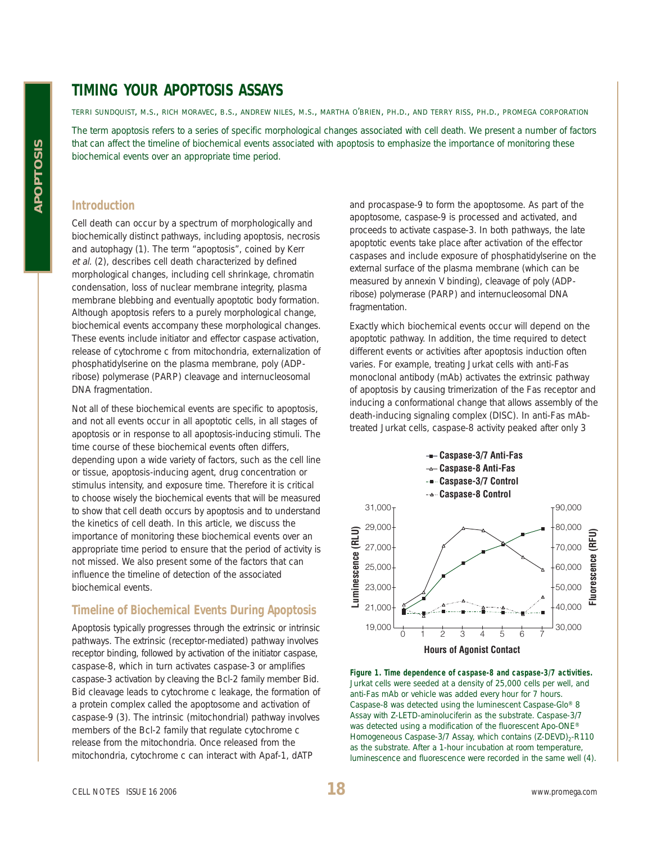## **TIMING YOUR APOPTOSIS ASSAYS**

TERRI SUNDQUIST, M.S., RICH MORAVEC, B.S., ANDREW NILES, M.S., MARTHA O'BRIEN, PH.D., AND TERRY RISS, PH.D., PROMEGA CORPORATION

The term apoptosis refers to a series of specific morphological changes associated with cell death. We present a number of factors that can affect the timeline of biochemical events associated with apoptosis to emphasize the importance of monitoring these biochemical events over an appropriate time period.

#### **Introduction**

Cell death can occur by a spectrum of morphologically and biochemically distinct pathways, including apoptosis, necrosis and autophagy (1). The term "apoptosis", coined by Kerr et al. (2), describes cell death characterized by defined morphological changes, including cell shrinkage, chromatin condensation, loss of nuclear membrane integrity, plasma membrane blebbing and eventually apoptotic body formation. Although apoptosis refers to a purely morphological change, biochemical events accompany these morphological changes. These events include initiator and effector caspase activation, release of cytochrome c from mitochondria, externalization of phosphatidylserine on the plasma membrane, poly (ADPribose) polymerase (PARP) cleavage and internucleosomal DNA fragmentation.

Not all of these biochemical events are specific to apoptosis, and not all events occur in all apoptotic cells, in all stages of apoptosis or in response to all apoptosis-inducing stimuli. The time course of these biochemical events often differs, depending upon a wide variety of factors, such as the cell line or tissue, apoptosis-inducing agent, drug concentration or stimulus intensity, and exposure time. Therefore it is critical to choose wisely the biochemical events that will be measured to show that cell death occurs by apoptosis and to understand the kinetics of cell death. In this article, we discuss the importance of monitoring these biochemical events over an appropriate time period to ensure that the period of activity is not missed. We also present some of the factors that can influence the timeline of detection of the associated biochemical events.

### **Timeline of Biochemical Events During Apoptosis**

Apoptosis typically progresses through the extrinsic or intrinsic pathways. The extrinsic (receptor-mediated) pathway involves receptor binding, followed by activation of the initiator caspase, caspase-8, which in turn activates caspase-3 or amplifies caspase-3 activation by cleaving the Bcl-2 family member Bid. Bid cleavage leads to cytochrome c leakage, the formation of a protein complex called the apoptosome and activation of caspase-9 (3). The intrinsic (mitochondrial) pathway involves members of the Bcl-2 family that regulate cytochrome c release from the mitochondria. Once released from the mitochondria, cytochrome c can interact with Apaf-1, dATP

and procaspase-9 to form the apoptosome. As part of the apoptosome, caspase-9 is processed and activated, and proceeds to activate caspase-3. In both pathways, the late apoptotic events take place after activation of the effector caspases and include exposure of phosphatidylserine on the external surface of the plasma membrane (which can be measured by annexin V binding), cleavage of poly (ADPribose) polymerase (PARP) and internucleosomal DNA fragmentation.

Exactly which biochemical events occur will depend on the apoptotic pathway. In addition, the time required to detect different events or activities after apoptosis induction often varies. For example, treating Jurkat cells with anti-Fas monoclonal antibody (mAb) activates the extrinsic pathway of apoptosis by causing trimerization of the Fas receptor and inducing a conformational change that allows assembly of the death-inducing signaling complex (DISC). In anti-Fas mAbtreated Jurkat cells, caspase-8 activity peaked after only 3



**Figure 1. Time dependence of caspase-8 and caspase-3/7 activities.** Jurkat cells were seeded at a density of 25,000 cells per well, and anti-Fas mAb or vehicle was added every hour for 7 hours. Caspase-8 was detected using the luminescent Caspase-Glo® 8 Assay with Z-LETD-aminoluciferin as the substrate. Caspase-3/7 was detected using a modification of the fluorescent Apo-ONE® Homogeneous Caspase-3/7 Assay, which contains (Z-DEVD)<sub>2</sub>-R110 as the substrate. After a 1-hour incubation at room temperature, luminescence and fluorescence were recorded in the same well (4).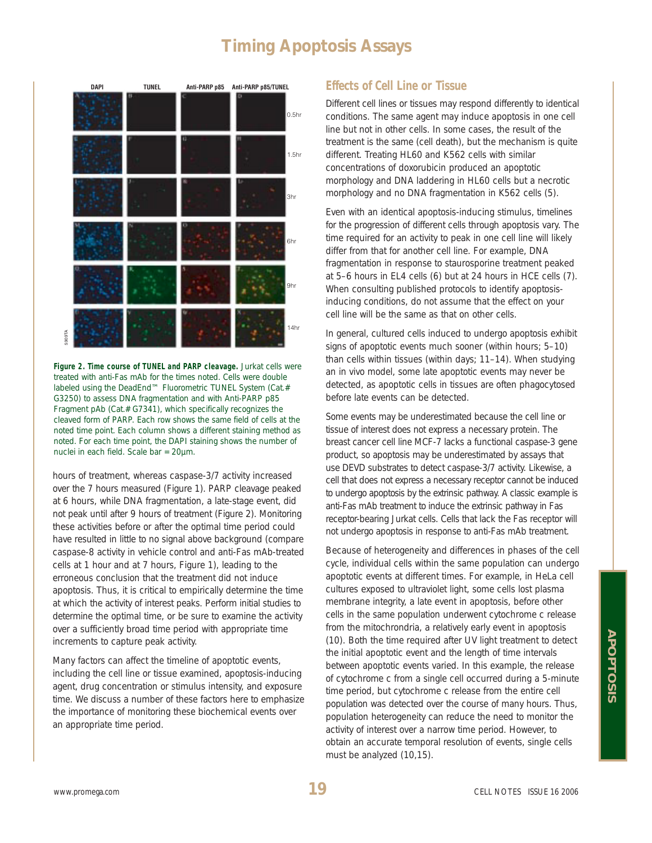# **Timing Apoptosis Assays**



**Figure 2. Time course of TUNEL and PARP cleavage.** Jurkat cells were treated with anti-Fas mAb for the times noted. Cells were double labeled using the DeadEnd™ Fluorometric TUNEL System (Cat.# G3250) to assess DNA fragmentation and with Anti-PARP p85 Fragment pAb (Cat.# G7341), which specifically recognizes the cleaved form of PARP. Each row shows the same field of cells at the noted time point. Each column shows a different staining method as noted. For each time point, the DAPI staining shows the number of Figure 2. Time course of TUNEL and PAR<br>treated with anti-Fas mAb for the times<br>labeled using the DeadEnd<sup>TM</sup> Fluoromet<br>G3250) to assess DNA fragmentation ar<br>Fragment pAb (Cat.# G7341), which sp<br>cleaved form of PARP. Each

hours of treatment, whereas caspase-3/7 activity increased over the 7 hours measured (Figure 1). PARP cleavage peaked at 6 hours, while DNA fragmentation, a late-stage event, did not peak until after 9 hours of treatment (Figure 2). Monitoring these activities before or after the optimal time period could have resulted in little to no signal above background (compare caspase-8 activity in vehicle control and anti-Fas mAb-treated cells at 1 hour and at 7 hours, Figure 1), leading to the erroneous conclusion that the treatment did not induce apoptosis. Thus, it is critical to empirically determine the time at which the activity of interest peaks. Perform initial studies to determine the optimal time, or be sure to examine the activity over a sufficiently broad time period with appropriate time increments to capture peak activity.

Many factors can affect the timeline of apoptotic events, including the cell line or tissue examined, apoptosis-inducing agent, drug concentration or stimulus intensity, and exposure time. We discuss a number of these factors here to emphasize the importance of monitoring these biochemical events over an appropriate time period.

## **Effects of Cell Line or Tissue**

Different cell lines or tissues may respond differently to identical conditions. The same agent may induce apoptosis in one cell line but not in other cells. In some cases, the result of the treatment is the same (cell death), but the mechanism is quite different. Treating HL60 and K562 cells with similar concentrations of doxorubicin produced an apoptotic morphology and DNA laddering in HL60 cells but a necrotic morphology and no DNA fragmentation in K562 cells (5).

Even with an identical apoptosis-inducing stimulus, timelines for the progression of different cells through apoptosis vary. The time required for an activity to peak in one cell line will likely differ from that for another cell line. For example, DNA fragmentation in response to staurosporine treatment peaked at 5–6 hours in EL4 cells (6) but at 24 hours in HCE cells (7). When consulting published protocols to identify apoptosisinducing conditions, do not assume that the effect on your cell line will be the same as that on other cells.

In general, cultured cells induced to undergo apoptosis exhibit signs of apoptotic events much sooner (within hours; 5–10) than cells within tissues (within days; 11–14). When studying an in vivo model, some late apoptotic events may never be detected, as apoptotic cells in tissues are often phagocytosed before late events can be detected.

Some events may be underestimated because the cell line or tissue of interest does not express a necessary protein. The breast cancer cell line MCF-7 lacks a functional caspase-3 gene product, so apoptosis may be underestimated by assays that use DEVD substrates to detect caspase-3/7 activity. Likewise, a cell that does not express a necessary receptor cannot be induced to undergo apoptosis by the extrinsic pathway. A classic example is anti-Fas mAb treatment to induce the extrinsic pathway in Fas receptor-bearing Jurkat cells. Cells that lack the Fas receptor will not undergo apoptosis in response to anti-Fas mAb treatment.

Because of heterogeneity and differences in phases of the cell cycle, individual cells within the same population can undergo apoptotic events at different times. For example, in HeLa cell cultures exposed to ultraviolet light, some cells lost plasma membrane integrity, a late event in apoptosis, before other cells in the same population underwent cytochrome c release from the mitochrondria, a relatively early event in apoptosis (10). Both the time required after UV light treatment to detect the initial apoptotic event and the length of time intervals between apoptotic events varied. In this example, the release of cytochrome c from a single cell occurred during a 5-minute time period, but cytochrome c release from the entire cell population was detected over the course of many hours. Thus, population heterogeneity can reduce the need to monitor the activity of interest over a narrow time period. However, to obtain an accurate temporal resolution of events, single cells must be analyzed (10,15).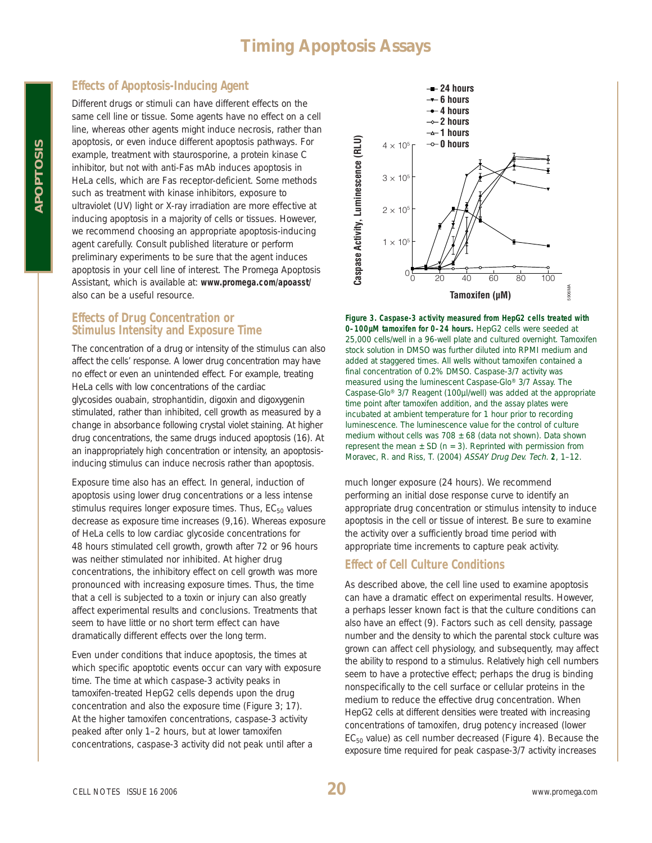# **Timing Apoptosis Assays**

## **Effects of Apoptosis-Inducing Agent**

Different drugs or stimuli can have different effects on the same cell line or tissue. Some agents have no effect on a cell line, whereas other agents might induce necrosis, rather than apoptosis, or even induce different apoptosis pathways. For example, treatment with staurosporine, a protein kinase C inhibitor, but not with anti-Fas mAb induces apoptosis in HeLa cells, which are Fas receptor-deficient. Some methods such as treatment with kinase inhibitors, exposure to ultraviolet (UV) light or X-ray irradiation are more effective at inducing apoptosis in a majority of cells or tissues. However, we recommend choosing an appropriate apoptosis-inducing agent carefully. Consult published literature or perform preliminary experiments to be sure that the agent induces apoptosis in your cell line of interest. The Promega Apoptosis Assistant, which is available at: **www.promega.com/apoasst/** also can be a useful resource.

### **Effects of Drug Concentration or Stimulus Intensity and Exposure Time**

The concentration of a drug or intensity of the stimulus can also affect the cells' response. A lower drug concentration may have no effect or even an unintended effect. For example, treating HeLa cells with low concentrations of the cardiac glycosides ouabain, strophantidin, digoxin and digoxygenin stimulated, rather than inhibited, cell growth as measured by a change in absorbance following crystal violet staining. At higher drug concentrations, the same drugs induced apoptosis (16). At an inappropriately high concentration or intensity, an apoptosisinducing stimulus can induce necrosis rather than apoptosis.

Exposure time also has an effect. In general, induction of apoptosis using lower drug concentrations or a less intense stimulus requires longer exposure times. Thus,  $EC_{50}$  values decrease as exposure time increases (9,16). Whereas exposure of HeLa cells to low cardiac glycoside concentrations for 48 hours stimulated cell growth, growth after 72 or 96 hours was neither stimulated nor inhibited. At higher drug concentrations, the inhibitory effect on cell growth was more pronounced with increasing exposure times. Thus, the time that a cell is subjected to a toxin or injury can also greatly affect experimental results and conclusions. Treatments that seem to have little or no short term effect can have dramatically different effects over the long term.

Even under conditions that induce apoptosis, the times at which specific apoptotic events occur can vary with exposure time. The time at which caspase-3 activity peaks in tamoxifen-treated HepG2 cells depends upon the drug concentration and also the exposure time (Figure 3; 17). At the higher tamoxifen concentrations, caspase-3 activity peaked after only 1–2 hours, but at lower tamoxifen concentrations, caspase-3 activity did not peak until after a



**Figure 3. Caspase-3 activity measured from HepG2 cells treated with 0–100µM tamoxifen for 0–24 hours.** HepG2 cells were seeded at 25,000 cells/well in a 96-well plate and cultured overnight. Tamoxifen stock solution in DMSO was further diluted into RPMI medium and added at staggered times. All wells without tamoxifen contained a final concentration of 0.2% DMSO. Caspase-3/7 activity was measured using the luminescent Caspase-Glo® 3/7 Assay. The Caspase-Glo® 3/7 Reagent (100µl/well) was added at the appropriate time point after tamoxifen addition, and the assay plates were incubated at ambient temperature for 1 hour prior to recording luminescence. The luminescence value for the control of culture medium without cells was 708  $\pm$  68 (data not shown). Data shown represent the mean  $\pm$  SD (n = 3). Reprinted with permission from **Tamoxifen (µM)**<br> **Figure 3. Caspase-3 activity measured from HepG2 cells treated wi<br>
0–100µM tamoxifen for 0–24 hours. HepG2 cells were seeded at<br>
25,000 cells/well in a 96-well plate and cultured overnight. Tamo:<br>
stock** 

much longer exposure (24 hours). We recommend performing an initial dose response curve to identify an appropriate drug concentration or stimulus intensity to induce apoptosis in the cell or tissue of interest. Be sure to examine the activity over a sufficiently broad time period with appropriate time increments to capture peak activity.

## **Effect of Cell Culture Conditions**

As described above, the cell line used to examine apoptosis can have a dramatic effect on experimental results. However, a perhaps lesser known fact is that the culture conditions can also have an effect (9). Factors such as cell density, passage number and the density to which the parental stock culture was grown can affect cell physiology, and subsequently, may affect the ability to respond to a stimulus. Relatively high cell numbers seem to have a protective effect; perhaps the drug is binding nonspecifically to the cell surface or cellular proteins in the medium to reduce the effective drug concentration. When HepG2 cells at different densities were treated with increasing concentrations of tamoxifen, drug potency increased (lower  $EC_{50}$  value) as cell number decreased (Figure 4). Because the exposure time required for peak caspase-3/7 activity increases